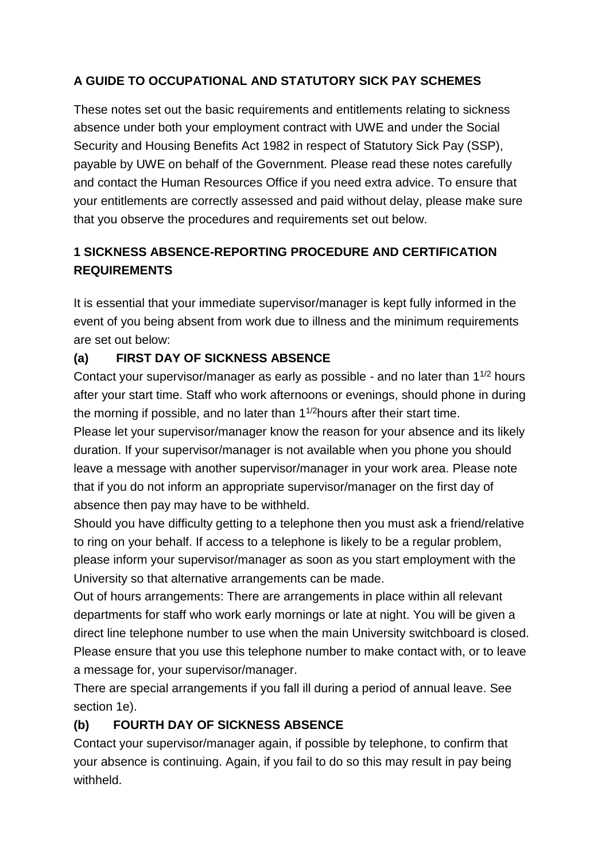## **A GUIDE TO OCCUPATIONAL AND STATUTORY SICK PAY SCHEMES**

These notes set out the basic requirements and entitlements relating to sickness absence under both your employment contract with UWE and under the Social Security and Housing Benefits Act 1982 in respect of Statutory Sick Pay (SSP), payable by UWE on behalf of the Government. Please read these notes carefully and contact the Human Resources Office if you need extra advice. To ensure that your entitlements are correctly assessed and paid without delay, please make sure that you observe the procedures and requirements set out below.

# **1 SICKNESS ABSENCE-REPORTING PROCEDURE AND CERTIFICATION REQUIREMENTS**

It is essential that your immediate supervisor/manager is kept fully informed in the event of you being absent from work due to illness and the minimum requirements are set out below:

#### **(a) FIRST DAY OF SICKNESS ABSENCE**

Contact your supervisor/manager as early as possible - and no later than 1<sup>1/2</sup> hours after your start time. Staff who work afternoons or evenings, should phone in during the morning if possible, and no later than  $1^{1/2}$ hours after their start time.

Please let your supervisor/manager know the reason for your absence and its likely duration. If your supervisor/manager is not available when you phone you should leave a message with another supervisor/manager in your work area. Please note that if you do not inform an appropriate supervisor/manager on the first day of absence then pay may have to be withheld.

Should you have difficulty getting to a telephone then you must ask a friend/relative to ring on your behalf. If access to a telephone is likely to be a regular problem, please inform your supervisor/manager as soon as you start employment with the University so that alternative arrangements can be made.

Out of hours arrangements: There are arrangements in place within all relevant departments for staff who work early mornings or late at night. You will be given a direct line telephone number to use when the main University switchboard is closed. Please ensure that you use this telephone number to make contact with, or to leave a message for, your supervisor/manager.

There are special arrangements if you fall ill during a period of annual leave. See section 1e).

#### **(b) FOURTH DAY OF SICKNESS ABSENCE**

Contact your supervisor/manager again, if possible by telephone, to confirm that your absence is continuing. Again, if you fail to do so this may result in pay being withheld.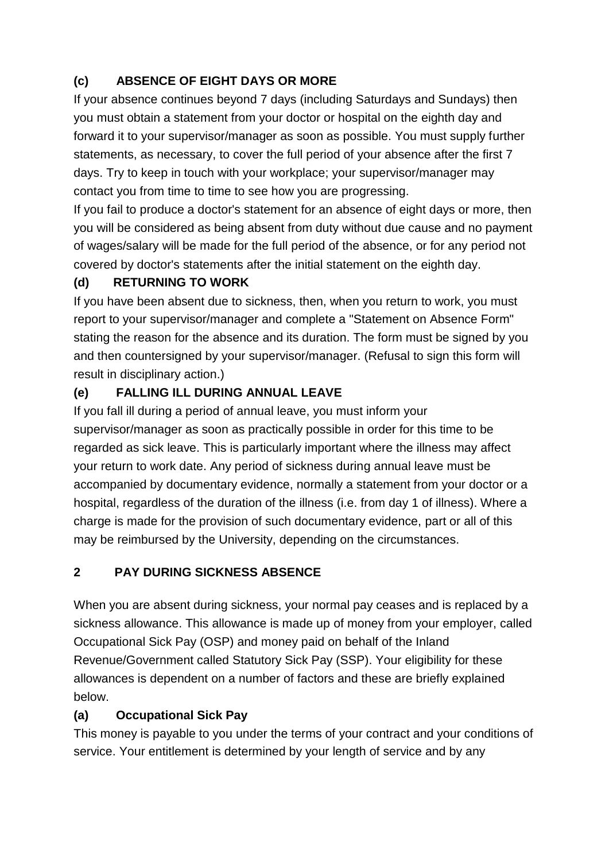# **(c) ABSENCE OF EIGHT DAYS OR MORE**

If your absence continues beyond 7 days (including Saturdays and Sundays) then you must obtain a statement from your doctor or hospital on the eighth day and forward it to your supervisor/manager as soon as possible. You must supply further statements, as necessary, to cover the full period of your absence after the first 7 days. Try to keep in touch with your workplace; your supervisor/manager may contact you from time to time to see how you are progressing.

If you fail to produce a doctor's statement for an absence of eight days or more, then you will be considered as being absent from duty without due cause and no payment of wages/salary will be made for the full period of the absence, or for any period not covered by doctor's statements after the initial statement on the eighth day.

# **(d) RETURNING TO WORK**

If you have been absent due to sickness, then, when you return to work, you must report to your supervisor/manager and complete a "Statement on Absence Form" stating the reason for the absence and its duration. The form must be signed by you and then countersigned by your supervisor/manager. (Refusal to sign this form will result in disciplinary action.)

## **(e) FALLING ILL DURING ANNUAL LEAVE**

If you fall ill during a period of annual leave, you must inform your supervisor/manager as soon as practically possible in order for this time to be regarded as sick leave. This is particularly important where the illness may affect your return to work date. Any period of sickness during annual leave must be accompanied by documentary evidence, normally a statement from your doctor or a hospital, regardless of the duration of the illness (i.e. from day 1 of illness). Where a charge is made for the provision of such documentary evidence, part or all of this may be reimbursed by the University, depending on the circumstances.

## **2 PAY DURING SICKNESS ABSENCE**

When you are absent during sickness, your normal pay ceases and is replaced by a sickness allowance. This allowance is made up of money from your employer, called Occupational Sick Pay (OSP) and money paid on behalf of the Inland Revenue/Government called Statutory Sick Pay (SSP). Your eligibility for these allowances is dependent on a number of factors and these are briefly explained below.

## **(a) Occupational Sick Pay**

This money is payable to you under the terms of your contract and your conditions of service. Your entitlement is determined by your length of service and by any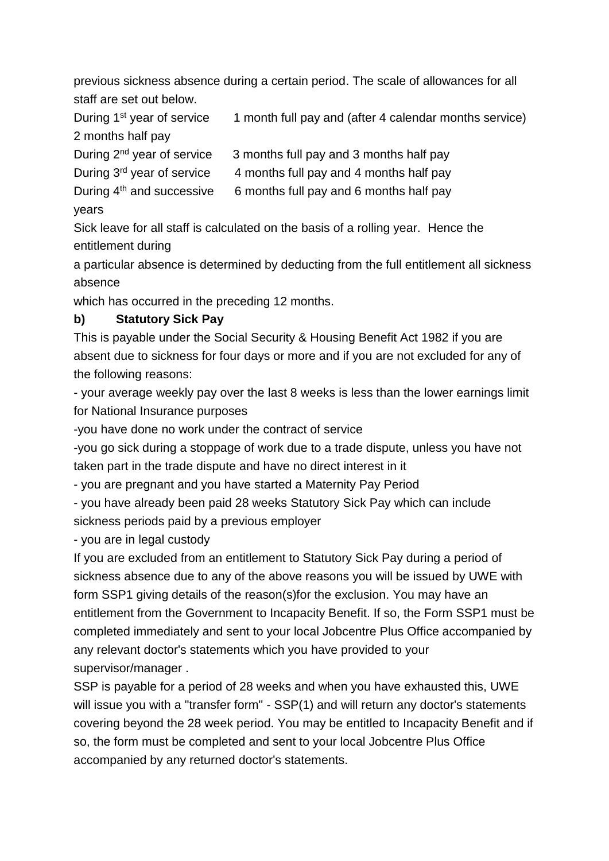previous sickness absence during a certain period. The scale of allowances for all staff are set out below.

During  $1<sup>st</sup>$  year of service  $1$  month full pay and (after 4 calendar months service) 2 months half pay

During  $2^{nd}$  year of service  $3$  months full pay and 3 months half pay

During  $3^{rd}$  year of service  $4$  months full pay and 4 months half pay

During  $4<sup>th</sup>$  and successive 6 months full pay and 6 months half pay

years

Sick leave for all staff is calculated on the basis of a rolling year. Hence the entitlement during

a particular absence is determined by deducting from the full entitlement all sickness absence

which has occurred in the preceding 12 months.

#### **b) Statutory Sick Pay**

This is payable under the Social Security & Housing Benefit Act 1982 if you are absent due to sickness for four days or more and if you are not excluded for any of the following reasons:

- your average weekly pay over the last 8 weeks is less than the lower earnings limit for National Insurance purposes

-you have done no work under the contract of service

-you go sick during a stoppage of work due to a trade dispute, unless you have not taken part in the trade dispute and have no direct interest in it

- you are pregnant and you have started a Maternity Pay Period

- you have already been paid 28 weeks Statutory Sick Pay which can include sickness periods paid by a previous employer

- you are in legal custody

If you are excluded from an entitlement to Statutory Sick Pay during a period of sickness absence due to any of the above reasons you will be issued by UWE with form SSP1 giving details of the reason(s)for the exclusion. You may have an entitlement from the Government to Incapacity Benefit. If so, the Form SSP1 must be completed immediately and sent to your local Jobcentre Plus Office accompanied by any relevant doctor's statements which you have provided to your supervisor/manager .

SSP is payable for a period of 28 weeks and when you have exhausted this, UWE will issue you with a "transfer form" - SSP(1) and will return any doctor's statements covering beyond the 28 week period. You may be entitled to Incapacity Benefit and if so, the form must be completed and sent to your local Jobcentre Plus Office accompanied by any returned doctor's statements.